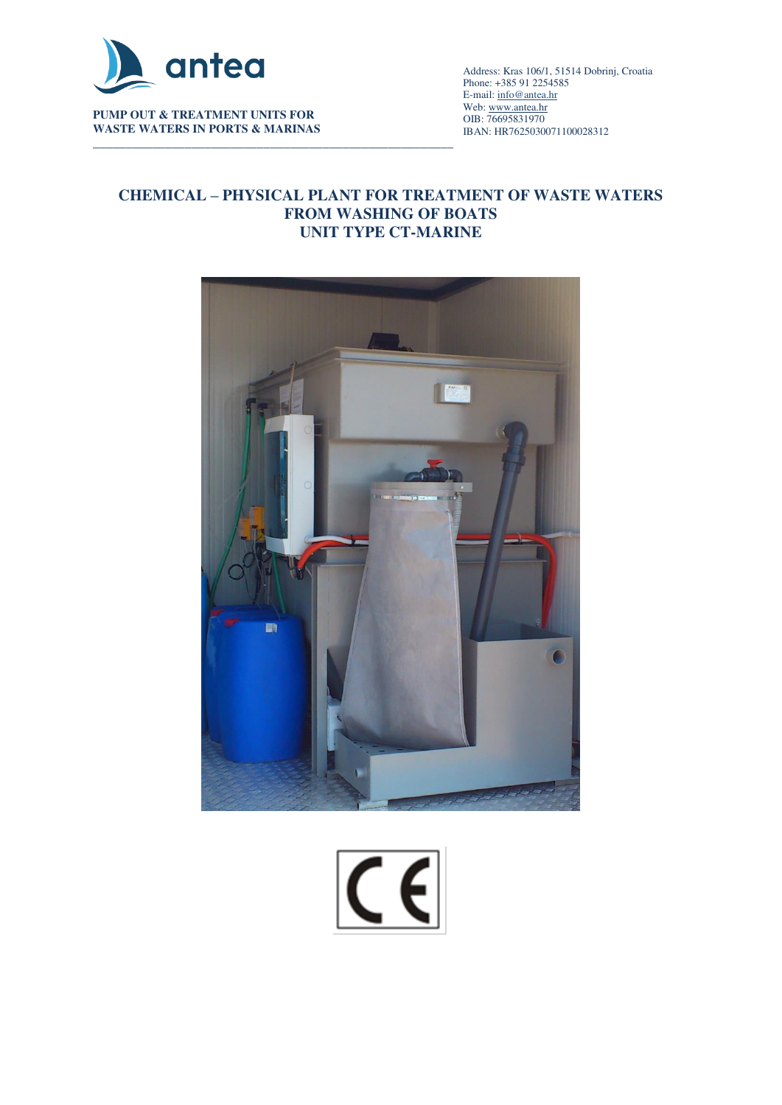

**PUMP OUT & TREATMENT UNITS FOR WASTE WATERS IN PORTS & MARINAS** 

\_\_\_\_\_\_\_\_\_\_\_\_\_\_\_\_\_\_\_\_\_\_\_\_\_\_\_\_\_\_\_\_\_\_\_\_\_\_\_\_\_\_\_\_\_\_\_\_\_\_\_\_\_\_\_\_\_\_\_\_\_\_\_\_\_\_\_\_\_\_\_\_\_\_\_\_\_\_\_\_\_\_\_\_\_\_\_\_\_\_ Address: Kras 106/1, 51514 Dobrinj, Croatia Phone: +385 91 2254585 E-mail[: info@antea.hr](mailto:info@antea.hr) Web: www.antea.hr OIB: 76695831970 IBAN: HR7625030071100028312

### **CHEMICAL – PHYSICAL PLANT FOR TREATMENT OF WASTE WATERS FROM WASHING OF BOATS UNIT TYPE CT-MARINE**



 $|C \epsilon|$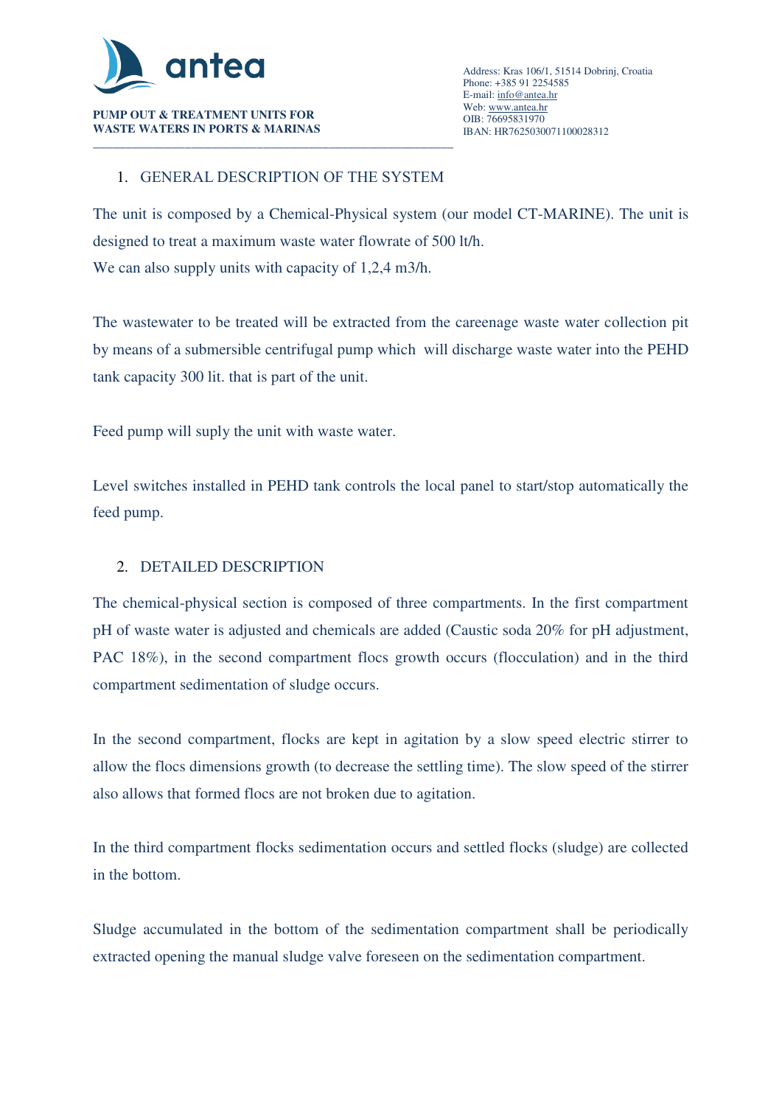

**WASTE WATERS IN PORTS & MARINAS** 

### 1. GENERAL DESCRIPTION OF THE SYSTEM

The unit is composed by a Chemical-Physical system (our model CT-MARINE). The unit is designed to treat a maximum waste water flowrate of 500 lt/h. We can also supply units with capacity of 1,2,4 m3/h.

The wastewater to be treated will be extracted from the careenage waste water collection pit by means of a submersible centrifugal pump which will discharge waste water into the PEHD tank capacity 300 lit. that is part of the unit.

Feed pump will suply the unit with waste water.

Level switches installed in PEHD tank controls the local panel to start/stop automatically the feed pump.

### 2. DETAILED DESCRIPTION

The chemical-physical section is composed of three compartments. In the first compartment pH of waste water is adjusted and chemicals are added (Caustic soda 20% for pH adjustment, PAC 18%), in the second compartment flocs growth occurs (flocculation) and in the third compartment sedimentation of sludge occurs.

In the second compartment, flocks are kept in agitation by a slow speed electric stirrer to allow the flocs dimensions growth (to decrease the settling time). The slow speed of the stirrer also allows that formed flocs are not broken due to agitation.

In the third compartment flocks sedimentation occurs and settled flocks (sludge) are collected in the bottom.

Sludge accumulated in the bottom of the sedimentation compartment shall be periodically extracted opening the manual sludge valve foreseen on the sedimentation compartment.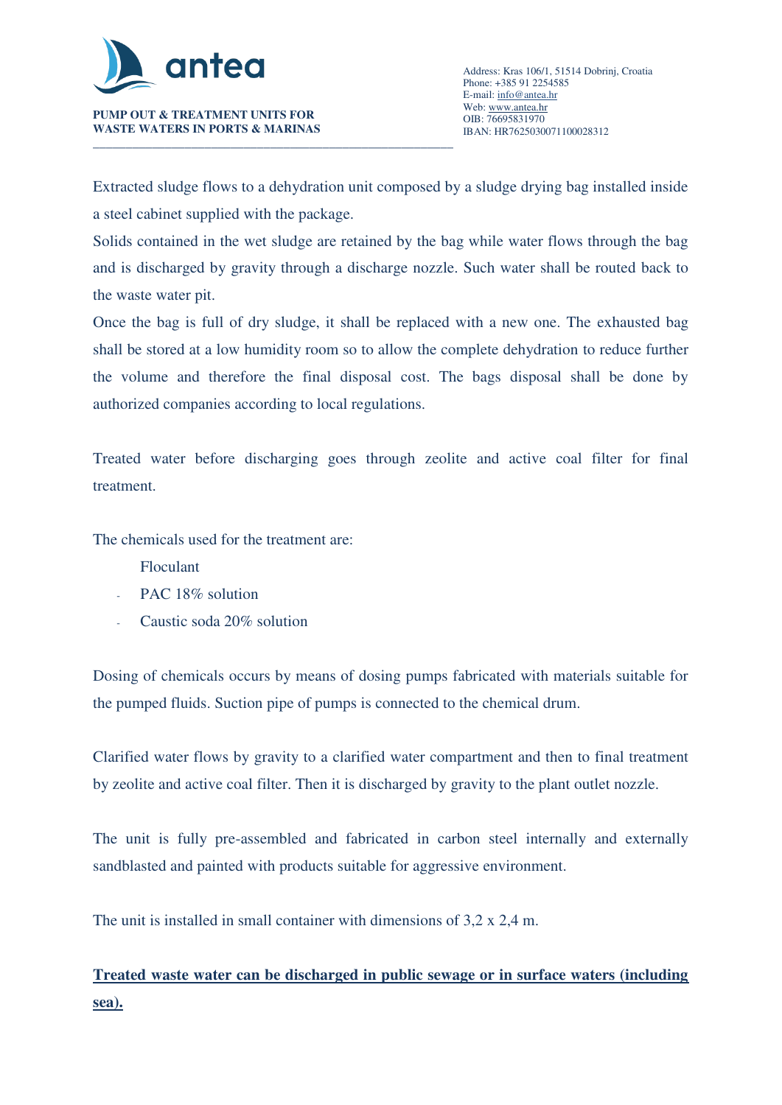

**WASTE WATERS IN PORTS & MARINAS** 

Extracted sludge flows to a dehydration unit composed by a sludge drying bag installed inside a steel cabinet supplied with the package.

Solids contained in the wet sludge are retained by the bag while water flows through the bag and is discharged by gravity through a discharge nozzle. Such water shall be routed back to the waste water pit.

Once the bag is full of dry sludge, it shall be replaced with a new one. The exhausted bag shall be stored at a low humidity room so to allow the complete dehydration to reduce further the volume and therefore the final disposal cost. The bags disposal shall be done by authorized companies according to local regulations.

Treated water before discharging goes through zeolite and active coal filter for final treatment.

The chemicals used for the treatment are:

- Floculant
- PAC 18% solution
- Caustic soda 20% solution

Dosing of chemicals occurs by means of dosing pumps fabricated with materials suitable for the pumped fluids. Suction pipe of pumps is connected to the chemical drum.

Clarified water flows by gravity to a clarified water compartment and then to final treatment by zeolite and active coal filter. Then it is discharged by gravity to the plant outlet nozzle.

The unit is fully pre-assembled and fabricated in carbon steel internally and externally sandblasted and painted with products suitable for aggressive environment.

The unit is installed in small container with dimensions of 3,2 x 2,4 m.

# **Treated waste water can be discharged in public sewage or in surface waters (including sea).**